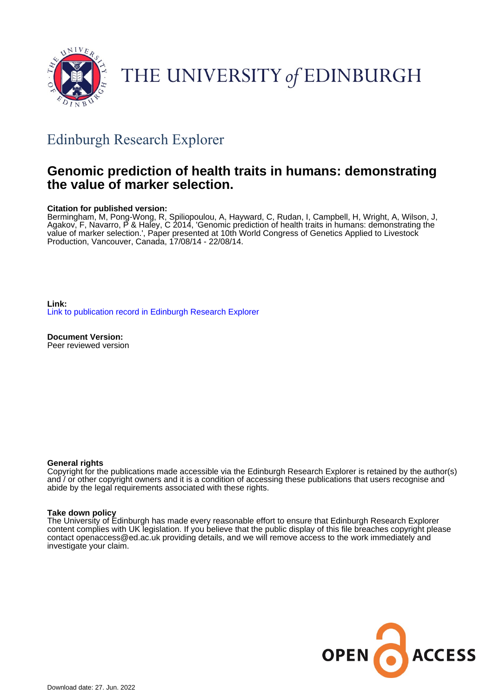

# THE UNIVERSITY of EDINBURGH

## Edinburgh Research Explorer

### **Genomic prediction of health traits in humans: demonstrating the value of marker selection.**

#### **Citation for published version:**

Bermingham, M, Pong-Wong, R, Spiliopoulou, A, Hayward, C, Rudan, I, Campbell, H, Wright, A, Wilson, J, Agakov, F, Navarro, P & Haley, C 2014, 'Genomic prediction of health traits in humans: demonstrating the value of marker selection.', Paper presented at 10th World Congress of Genetics Applied to Livestock Production, Vancouver, Canada, 17/08/14 - 22/08/14.

**Link:** [Link to publication record in Edinburgh Research Explorer](https://www.research.ed.ac.uk/en/publications/2d1e7c34-8446-4c40-a60f-e7e498b64895)

**Document Version:** Peer reviewed version

#### **General rights**

Copyright for the publications made accessible via the Edinburgh Research Explorer is retained by the author(s) and / or other copyright owners and it is a condition of accessing these publications that users recognise and abide by the legal requirements associated with these rights.

#### **Take down policy**

The University of Edinburgh has made every reasonable effort to ensure that Edinburgh Research Explorer content complies with UK legislation. If you believe that the public display of this file breaches copyright please contact openaccess@ed.ac.uk providing details, and we will remove access to the work immediately and investigate your claim.

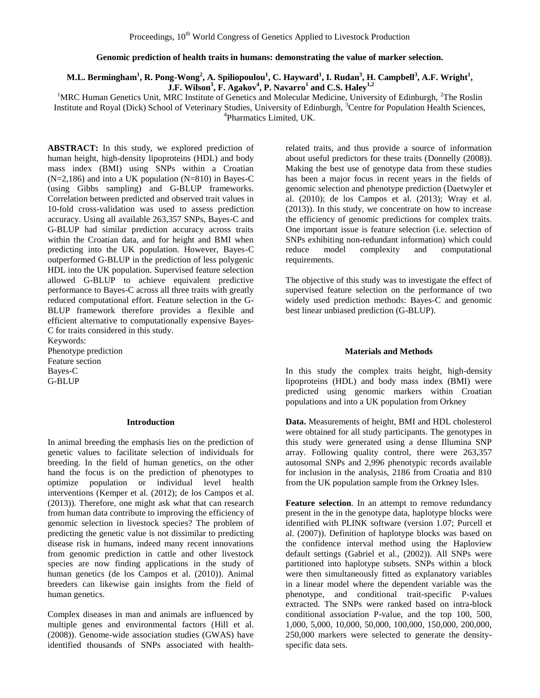#### **Genomic prediction of health traits in humans: demonstrating the value of marker selection.**

#### M.L. Bermingham<sup>1</sup>, R. Pong-Wong<sup>2</sup>, A. Spiliopoulou<sup>1</sup>, C. Hayward<sup>1</sup>, I. Rudan<sup>3</sup>, H. Campbell<sup>3</sup>, A.F. Wright<sup>1</sup>, **J.F. Wilson<sup>3</sup> , F. Agakov<sup>4</sup> , P. Navarro<sup>1</sup> and C.S. Haley1,2**

<sup>1</sup>MRC Human Genetics Unit, MRC Institute of Genetics and Molecular Medicine, University of Edinburgh, <sup>2</sup>The Roslin Institute and Royal (Dick) School of Veterinary Studies, University of Edinburgh, <sup>3</sup>Centre for Population Health Sciences, 4 Pharmatics Limited, UK.

**ABSTRACT:** In this study, we explored prediction of human height, high-density lipoproteins (HDL) and body mass index (BMI) using SNPs within a Croatian (N=2,186) and into a UK population (N=810) in Bayes-C (using Gibbs sampling) and G-BLUP frameworks. Correlation between predicted and observed trait values in 10-fold cross-validation was used to assess prediction accuracy. Using all available 263,357 SNPs, Bayes-C and G-BLUP had similar prediction accuracy across traits within the Croatian data, and for height and BMI when predicting into the UK population. However, Bayes-C outperformed G-BLUP in the prediction of less polygenic HDL into the UK population. Supervised feature selection allowed G-BLUP to achieve equivalent predictive performance to Bayes-C across all three traits with greatly reduced computational effort. Feature selection in the G-BLUP framework therefore provides a flexible and efficient alternative to computationally expensive Bayes-C for traits considered in this study.

Keywords: Phenotype prediction Feature section Bayes-C G-BLUP

#### **Introduction**

In animal breeding the emphasis lies on the prediction of genetic values to facilitate selection of individuals for breeding. In the field of human genetics, on the other hand the focus is on the prediction of phenotypes to optimize population or individual level health interventions (Kemper et al. (2012); de los Campos et al. (2013)). Therefore, one might ask what that can research from human data contribute to improving the efficiency of genomic selection in livestock species? The problem of predicting the genetic value is not dissimilar to predicting disease risk in humans, indeed many recent innovations from genomic prediction in cattle and other livestock species are now finding applications in the study of human genetics (de los Campos et al. (2010)). Animal breeders can likewise gain insights from the field of human genetics.

Complex diseases in man and animals are influenced by multiple genes and environmental factors (Hill et al. (2008)). Genome-wide association studies (GWAS) have identified thousands of SNPs associated with health-

related traits, and thus provide a source of information about useful predictors for these traits (Donnelly (2008)). Making the best use of genotype data from these studies has been a major focus in recent years in the fields of genomic selection and phenotype prediction (Daetwyler et al. (2010); de los Campos et al. (2013); Wray et al. (2013)). In this study, we concentrate on how to increase the efficiency of genomic predictions for complex traits. One important issue is feature selection (i.e. selection of SNPs exhibiting non*-*redundant information) which could reduce model complexity and computational requirements.

The objective of this study was to investigate the effect of supervised feature selection on the performance of two widely used prediction methods: Bayes-C and genomic best linear unbiased prediction (G-BLUP).

#### **Materials and Methods**

In this study the complex traits height, high-density lipoproteins (HDL) and body mass index (BMI) were predicted using genomic markers within Croatian populations and into a UK population from Orkney

**Data.** Measurements of height, BMI and HDL cholesterol were obtained for all study participants. The genotypes in this study were generated using a dense Illumina SNP array. Following quality control, there were 263,357 autosomal SNPs and 2,996 phenotypic records available for inclusion in the analysis, 2186 from Croatia and 810 from the UK population sample from the Orkney Isles.

**Feature selection**. In an attempt to remove redundancy present in the in the genotype data, haplotype blocks were identified with PLINK software (version 1.07; Purcell et al. (2007)). Definition of haplotype blocks was based on the confidence interval method using the Haploview default settings (Gabriel et al., (2002)). All SNPs were partitioned into haplotype subsets. SNPs within a block were then simultaneously fitted as explanatory variables in a linear model where the dependent variable was the phenotype, and conditional trait-specific P-values extracted. The SNPs were ranked based on intra-block conditional association P-value, and the top 100, 500, 1,000, 5,000, 10,000, 50,000, 100,000, 150,000, 200,000, 250,000 markers were selected to generate the densityspecific data sets.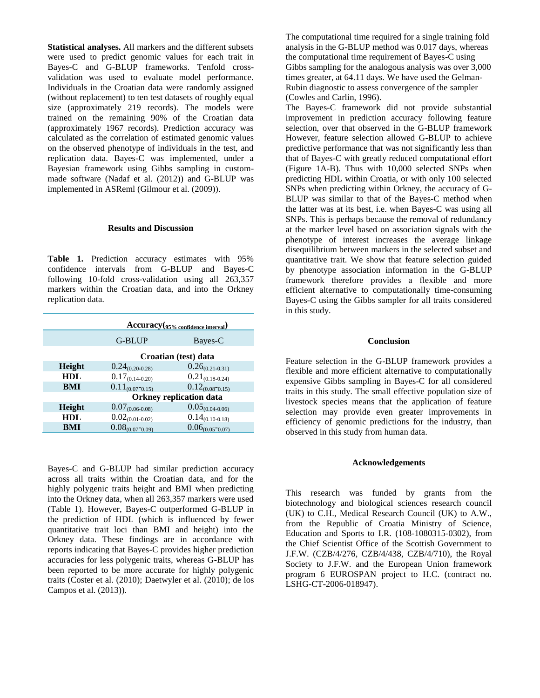**Statistical analyses.** All markers and the different subsets were used to predict genomic values for each trait in Bayes-C and G-BLUP frameworks. Tenfold crossvalidation was used to evaluate model performance. Individuals in the Croatian data were randomly assigned (without replacement) to ten test datasets of roughly equal size (approximately 219 records). The models were trained on the remaining 90% of the Croatian data (approximately 1967 records). Prediction accuracy was calculated as the correlation of estimated genomic values on the observed phenotype of individuals in the test, and replication data. Bayes-C was implemented, under a Bayesian framework using Gibbs sampling in custommade software (Nadaf et al. (2012)) and G-BLUP was implemented in ASReml (Gilmour et al. (2009)).

#### **Results and Discussion**

**Table 1.** Prediction accuracy estimates with 95% confidence intervals from G-BLUP and Bayes-C following 10-fold cross-validation using all 263,357 markers within the Croatian data, and into the Orkney replication data.

| Accuracy(95% confidence interval) |                                |                      |
|-----------------------------------|--------------------------------|----------------------|
|                                   | G-BLUP                         | Bayes-C              |
|                                   | Croatian (test) data           |                      |
| Height                            | $0.24_{(0.20-0.28)}$           | $0.26_{(0.21-0.31)}$ |
| <b>HDL</b>                        | $0.17_{(0.14-0.20)}$           | $0.21_{(0.18-0.24)}$ |
| BMI                               | $0.11_{(0.07-0.15)}$           | $0.12_{(0.08-0.15)}$ |
|                                   | <b>Orkney replication data</b> |                      |
| <b>Height</b>                     | $0.07_{(0.06-0.08)}$           | $0.05_{(0.04-0.06)}$ |
| <b>HDL</b>                        | $0.02_{(0.01-0.02)}$           | $0.14_{(0.10-0.18)}$ |
| BMI                               | $0.08_{(0.07-0.09)}$           | $0.06_{(0.05-0.07)}$ |

Bayes-C and G-BLUP had similar prediction accuracy across all traits within the Croatian data, and for the highly polygenic traits height and BMI when predicting into the Orkney data, when all 263,357 markers were used (Table 1). However, Bayes-C outperformed G-BLUP in the prediction of HDL (which is influenced by fewer quantitative trait loci than BMI and height) into the Orkney data. These findings are in accordance with reports indicating that Bayes-C provides higher prediction accuracies for less polygenic traits, whereas G-BLUP has been reported to be more accurate for highly polygenic traits (Coster et al. (2010); Daetwyler et al. (2010); de los Campos et al. (2013)).

The computational time required for a single training fold analysis in the G-BLUP method was 0.017 days, whereas the computational time requirement of Bayes-C using Gibbs sampling for the analogous analysis was over 3,000 times greater, at 64.11 days. We have used the Gelman-Rubin diagnostic to assess convergence of the sampler (Cowles and Carlin, 1996).

The Bayes-C framework did not provide substantial improvement in prediction accuracy following feature selection, over that observed in the G-BLUP framework However, feature selection allowed G-BLUP to achieve predictive performance that was not significantly less than that of Bayes-C with greatly reduced computational effort (Figure 1A-B). Thus with 10,000 selected SNPs when predicting HDL within Croatia, or with only 100 selected SNPs when predicting within Orkney, the accuracy of G-BLUP was similar to that of the Bayes-C method when the latter was at its best, i.e. when Bayes-C was using all SNPs. This is perhaps because the removal of redundancy at the marker level based on association signals with the phenotype of interest increases the average linkage disequilibrium between markers in the selected subset and quantitative trait. We show that feature selection guided by phenotype association information in the G-BLUP framework therefore provides a flexible and more efficient alternative to computationally time-consuming Bayes-C using the Gibbs sampler for all traits considered in this study.

#### **Conclusion**

Feature selection in the G-BLUP framework provides a flexible and more efficient alternative to computationally expensive Gibbs sampling in Bayes-C for all considered traits in this study. The small effective population size of livestock species means that the application of feature selection may provide even greater improvements in efficiency of genomic predictions for the industry, than observed in this study from human data.

#### **Acknowledgements**

This research was funded by grants from the biotechnology and biological sciences research council (UK) to C.H., Medical Research Council (UK) to A.W., from the Republic of Croatia Ministry of Science, Education and Sports to I.R. (108-1080315-0302), from the Chief Scientist Office of the Scottish Government to J.F.W. (CZB/4/276, CZB/4/438, CZB/4/710), the Royal Society to J.F.W. and the European Union framework program 6 EUROSPAN project to H.C. (contract no. LSHG-CT-2006-018947).